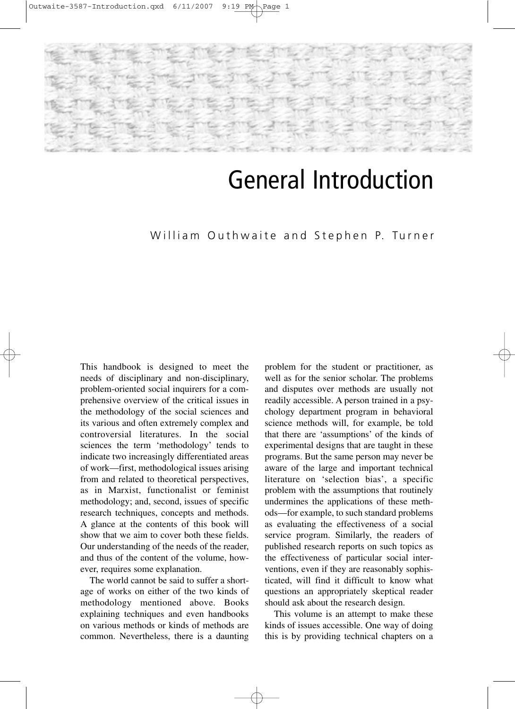

## General Introduction

## William Outhwaite and Stephen P. Turner

This handbook is designed to meet the needs of disciplinary and non-disciplinary, problem-oriented social inquirers for a comprehensive overview of the critical issues in the methodology of the social sciences and its various and often extremely complex and controversial literatures. In the social sciences the term 'methodology' tends to indicate two increasingly differentiated areas of work—first, methodological issues arising from and related to theoretical perspectives, as in Marxist, functionalist or feminist methodology; and, second, issues of specific research techniques, concepts and methods. A glance at the contents of this book will show that we aim to cover both these fields. Our understanding of the needs of the reader, and thus of the content of the volume, however, requires some explanation.

The world cannot be said to suffer a shortage of works on either of the two kinds of methodology mentioned above. Books explaining techniques and even handbooks on various methods or kinds of methods are common. Nevertheless, there is a daunting problem for the student or practitioner, as well as for the senior scholar. The problems and disputes over methods are usually not readily accessible. A person trained in a psychology department program in behavioral science methods will, for example, be told that there are 'assumptions' of the kinds of experimental designs that are taught in these programs. But the same person may never be aware of the large and important technical literature on 'selection bias', a specific problem with the assumptions that routinely undermines the applications of these methods—for example, to such standard problems as evaluating the effectiveness of a social service program. Similarly, the readers of published research reports on such topics as the effectiveness of particular social interventions, even if they are reasonably sophisticated, will find it difficult to know what questions an appropriately skeptical reader should ask about the research design.

This volume is an attempt to make these kinds of issues accessible. One way of doing this is by providing technical chapters on a